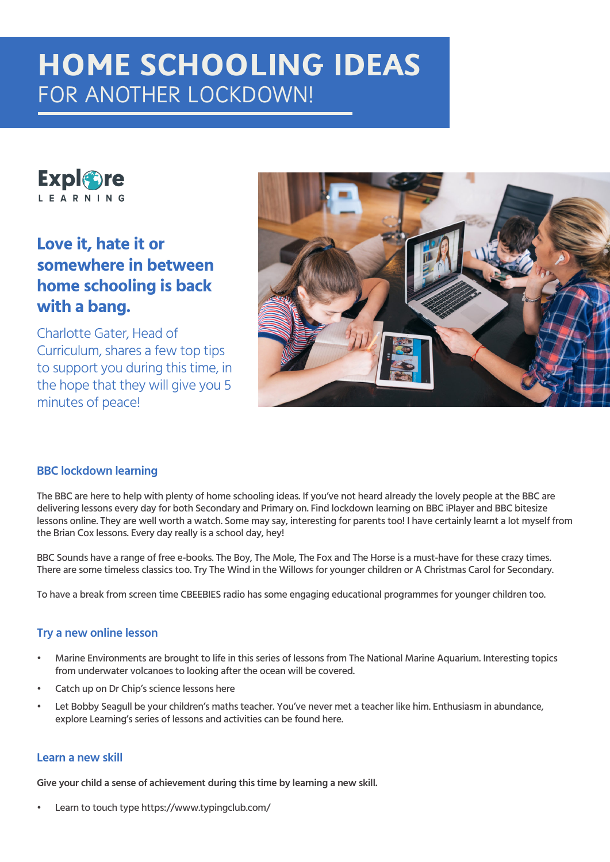# **HOME SCHOOLING IDEAS** FOR ANOTHER LOCKDOWN!



## **Love it, hate it or somewhere in between home schooling is back with a bang.**

Charlotte Gater, Head of Curriculum, shares a few top tips to support you during this time, in the hope that they will give you 5 minutes of peace!



#### **BBC lockdown learning**

The BBC are here to help with plenty of home schooling ideas. If you've not heard already the lovely people at the BBC are delivering lessons every day for both Secondary and Primary on. Find lockdown learning on BBC iPlayer and BBC bitesize lessons online. They are well worth a watch. Some may say, interesting for parents too! I have certainly learnt a lot myself from the Brian Cox lessons. Every day really is a school day, hey!

BBC Sounds have a range of free e-books. The Boy, The Mole, The Fox and The Horse is a must-have for these crazy times. There are some timeless classics too. Try The Wind in the Willows for younger children or A Christmas Carol for Secondary.

To have a break from screen time CBEEBIES radio has some engaging educational programmes for younger children too.

#### **Try a new online lesson**

- Marine Environments are brought to life in this series of lessons from The National Marine Aquarium. Interesting topics from underwater volcanoes to looking after the ocean will be covered.
- Catch up on Dr Chip's science lessons here
- Let Bobby Seagull be your children's maths teacher. You've never met a teacher like him. Enthusiasm in abundance, explore Learning's series of lessons and activities can be found here.

#### **Learn a new skill**

**Give your child a sense of achievement during this time by learning a new skill.**

Learn to touch type https://www.typingclub.com/